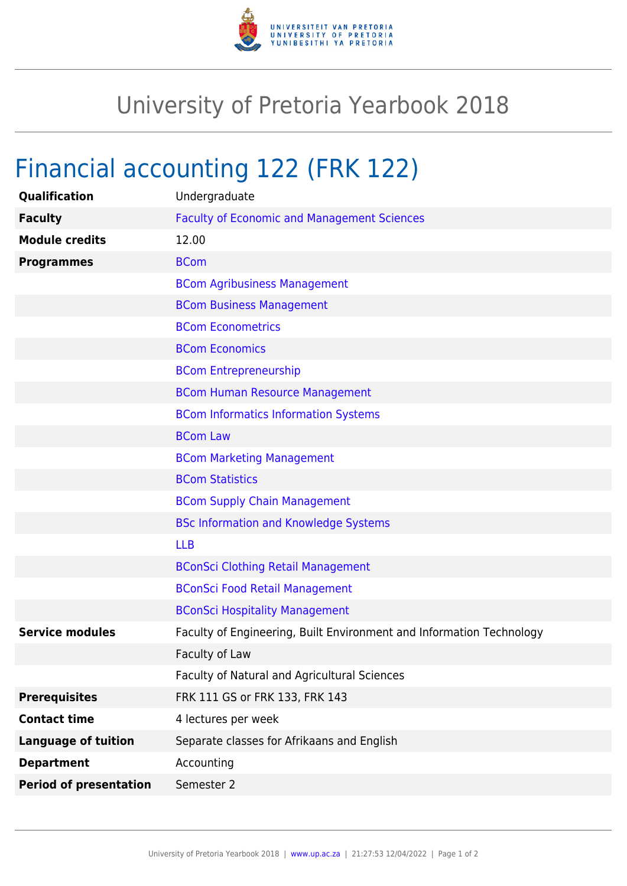

## University of Pretoria Yearbook 2018

## Financial accounting 122 (FRK 122)

| Qualification                 | Undergraduate                                                        |
|-------------------------------|----------------------------------------------------------------------|
| <b>Faculty</b>                | <b>Faculty of Economic and Management Sciences</b>                   |
| <b>Module credits</b>         | 12.00                                                                |
| <b>Programmes</b>             | <b>BCom</b>                                                          |
|                               | <b>BCom Agribusiness Management</b>                                  |
|                               | <b>BCom Business Management</b>                                      |
|                               | <b>BCom Econometrics</b>                                             |
|                               | <b>BCom Economics</b>                                                |
|                               | <b>BCom Entrepreneurship</b>                                         |
|                               | <b>BCom Human Resource Management</b>                                |
|                               | <b>BCom Informatics Information Systems</b>                          |
|                               | <b>BCom Law</b>                                                      |
|                               | <b>BCom Marketing Management</b>                                     |
|                               | <b>BCom Statistics</b>                                               |
|                               | <b>BCom Supply Chain Management</b>                                  |
|                               | <b>BSc Information and Knowledge Systems</b>                         |
|                               | <b>LLB</b>                                                           |
|                               | <b>BConSci Clothing Retail Management</b>                            |
|                               | <b>BConSci Food Retail Management</b>                                |
|                               | <b>BConSci Hospitality Management</b>                                |
| <b>Service modules</b>        | Faculty of Engineering, Built Environment and Information Technology |
|                               | Faculty of Law                                                       |
|                               | Faculty of Natural and Agricultural Sciences                         |
| <b>Prerequisites</b>          | FRK 111 GS or FRK 133, FRK 143                                       |
| <b>Contact time</b>           | 4 lectures per week                                                  |
| <b>Language of tuition</b>    | Separate classes for Afrikaans and English                           |
| <b>Department</b>             | Accounting                                                           |
| <b>Period of presentation</b> | Semester 2                                                           |
|                               |                                                                      |